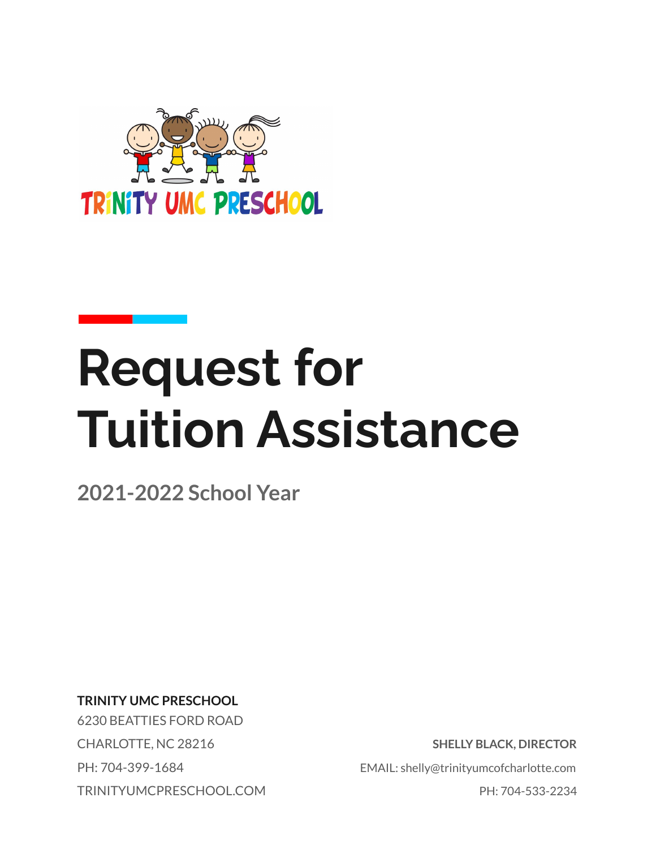

# **Request for Tuition Assistance**

**2021-2022 School Year**

**TRINITY UMC PRESCHOOL**

6230 BEATTIES FORD ROAD TRINITYUMCPRESCHOOL.COM PH: 704-533-2234

CHARLOTTE, NC 28216 **SHELLY BLACK, DIRECTOR** PH: 704-399-1684 EMAIL: shelly@trinityumcofcharlotte.com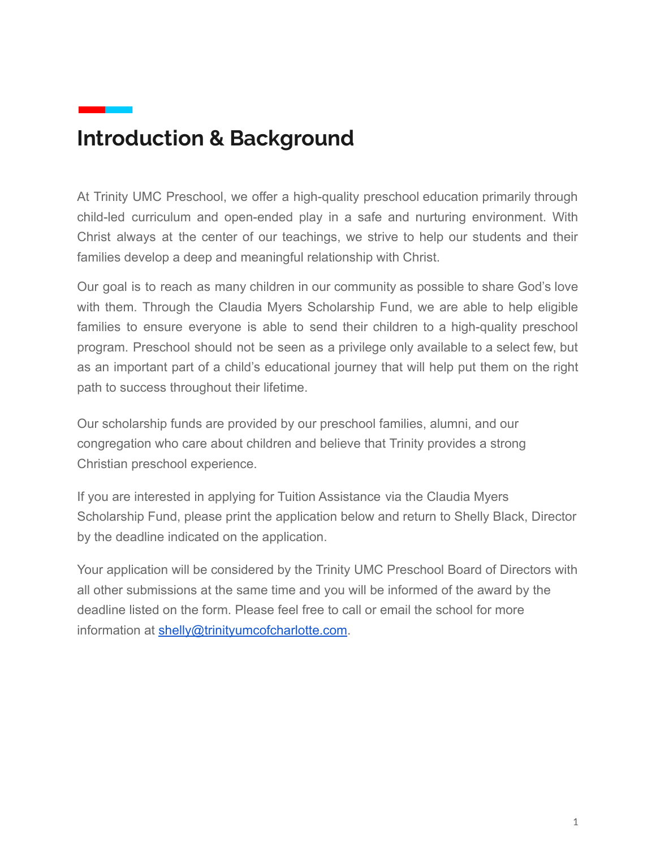### **Introduction & Background**

At Trinity UMC Preschool, we offer a high-quality preschool education primarily through child-led curriculum and open-ended play in a safe and nurturing environment. With Christ always at the center of our teachings, we strive to help our students and their families develop a deep and meaningful relationship with Christ.

Our goal is to reach as many children in our community as possible to share God's love with them. Through the Claudia Myers Scholarship Fund, we are able to help eligible families to ensure everyone is able to send their children to a high-quality preschool program. Preschool should not be seen as a privilege only available to a select few, but as an important part of a child's educational journey that will help put them on the right path to success throughout their lifetime.

Our scholarship funds are provided by our preschool families, alumni, and our congregation who care about children and believe that Trinity provides a strong Christian preschool experience.

If you are interested in applying for Tuition Assistance via the Claudia Myers Scholarship Fund, please print the application below and return to Shelly Black, Director by the deadline indicated on the application.

Your application will be considered by the Trinity UMC Preschool Board of Directors with all other submissions at the same time and you will be informed of the award by the deadline listed on the form. Please feel free to call or email the school for more information at [shelly@trinityumcofcharlotte.com](mailto:shelly@trinityumcofcharlotte.com).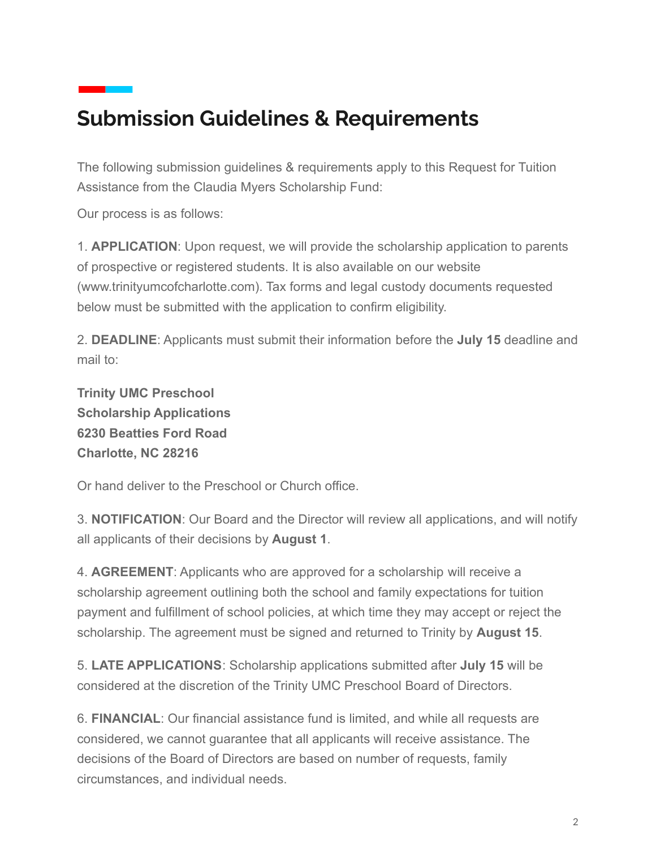## **Submission Guidelines & Requirements**

The following submission guidelines & requirements apply to this Request for Tuition Assistance from the Claudia Myers Scholarship Fund:

Our process is as follows:

1. **APPLICATION**: Upon request, we will provide the scholarship application to parents of prospective or registered students. It is also available on our website (www.trinityumcofcharlotte.com). Tax forms and legal custody documents requested below must be submitted with the application to confirm eligibility.

2. **DEADLINE**: Applicants must submit their information before the **July 15** deadline and mail to:

**Trinity UMC Preschool Scholarship Applications 6230 Beatties Ford Road Charlotte, NC 28216**

Or hand deliver to the Preschool or Church office.

3. **NOTIFICATION**: Our Board and the Director will review all applications, and will notify all applicants of their decisions by **August 1**.

4. **AGREEMENT**: Applicants who are approved for a scholarship will receive a scholarship agreement outlining both the school and family expectations for tuition payment and fulfillment of school policies, at which time they may accept or reject the scholarship. The agreement must be signed and returned to Trinity by **August 15**.

5. **LATE APPLICATIONS**: Scholarship applications submitted after **July 15** will be considered at the discretion of the Trinity UMC Preschool Board of Directors.

6. **FINANCIAL**: Our financial assistance fund is limited, and while all requests are considered, we cannot guarantee that all applicants will receive assistance. The decisions of the Board of Directors are based on number of requests, family circumstances, and individual needs.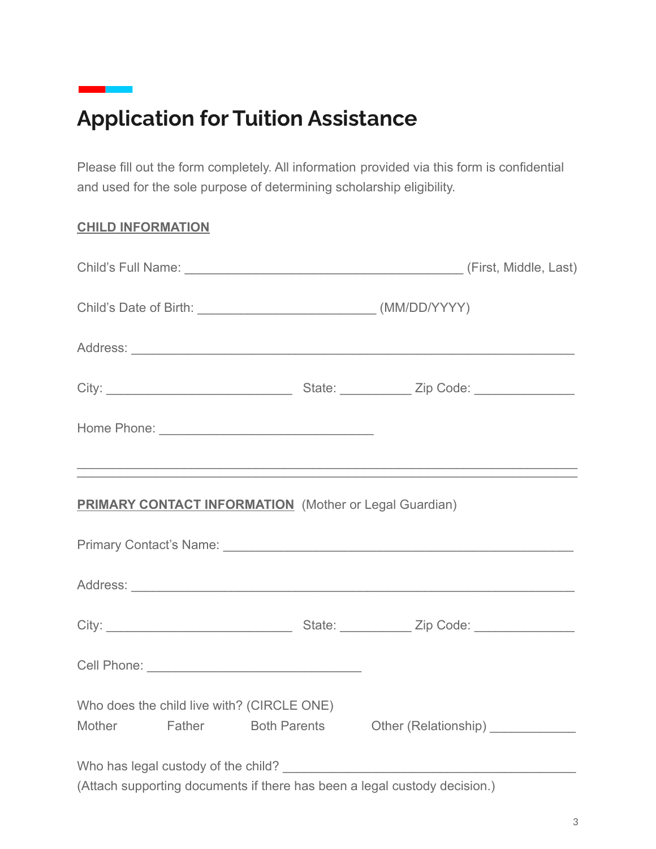## **Application for Tuition Assistance**

Please fill out the form completely. All information provided via this form is confidential and used for the sole purpose of determining scholarship eligibility.

#### **CHILD INFORMATION**

|  | <b>PRIMARY CONTACT INFORMATION</b> (Mother or Legal Guardian)             |  |
|--|---------------------------------------------------------------------------|--|
|  |                                                                           |  |
|  |                                                                           |  |
|  |                                                                           |  |
|  |                                                                           |  |
|  | Who does the child live with? (CIRCLE ONE)                                |  |
|  | Mother Father Both Parents Other (Relationship) ___________               |  |
|  |                                                                           |  |
|  | (Attach supporting documents if there has been a legal custody decision.) |  |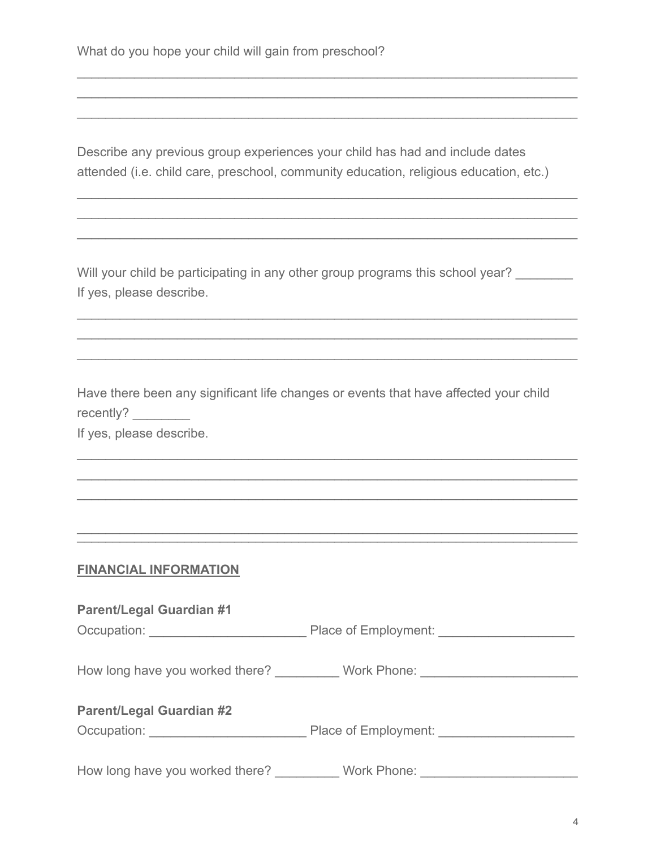Describe any previous group experiences your child has had and include dates attended (i.e. child care, preschool, community education, religious education, etc.)

 $\mathcal{L}_\text{max} = \mathcal{L}_\text{max} = \mathcal{L}_\text{max} = \mathcal{L}_\text{max} = \mathcal{L}_\text{max} = \mathcal{L}_\text{max} = \mathcal{L}_\text{max} = \mathcal{L}_\text{max} = \mathcal{L}_\text{max} = \mathcal{L}_\text{max} = \mathcal{L}_\text{max} = \mathcal{L}_\text{max} = \mathcal{L}_\text{max} = \mathcal{L}_\text{max} = \mathcal{L}_\text{max} = \mathcal{L}_\text{max} = \mathcal{L}_\text{max} = \mathcal{L}_\text{max} = \mathcal{$  $\mathcal{L}_\text{max} = \mathcal{L}_\text{max} = \mathcal{L}_\text{max} = \mathcal{L}_\text{max} = \mathcal{L}_\text{max} = \mathcal{L}_\text{max} = \mathcal{L}_\text{max} = \mathcal{L}_\text{max} = \mathcal{L}_\text{max} = \mathcal{L}_\text{max} = \mathcal{L}_\text{max} = \mathcal{L}_\text{max} = \mathcal{L}_\text{max} = \mathcal{L}_\text{max} = \mathcal{L}_\text{max} = \mathcal{L}_\text{max} = \mathcal{L}_\text{max} = \mathcal{L}_\text{max} = \mathcal{$  $\mathcal{L}_\text{max} = \mathcal{L}_\text{max} = \mathcal{L}_\text{max} = \mathcal{L}_\text{max} = \mathcal{L}_\text{max} = \mathcal{L}_\text{max} = \mathcal{L}_\text{max} = \mathcal{L}_\text{max} = \mathcal{L}_\text{max} = \mathcal{L}_\text{max} = \mathcal{L}_\text{max} = \mathcal{L}_\text{max} = \mathcal{L}_\text{max} = \mathcal{L}_\text{max} = \mathcal{L}_\text{max} = \mathcal{L}_\text{max} = \mathcal{L}_\text{max} = \mathcal{L}_\text{max} = \mathcal{$ 

 $\mathcal{L}_\text{max} = \mathcal{L}_\text{max} = \mathcal{L}_\text{max} = \mathcal{L}_\text{max} = \mathcal{L}_\text{max} = \mathcal{L}_\text{max} = \mathcal{L}_\text{max} = \mathcal{L}_\text{max} = \mathcal{L}_\text{max} = \mathcal{L}_\text{max} = \mathcal{L}_\text{max} = \mathcal{L}_\text{max} = \mathcal{L}_\text{max} = \mathcal{L}_\text{max} = \mathcal{L}_\text{max} = \mathcal{L}_\text{max} = \mathcal{L}_\text{max} = \mathcal{L}_\text{max} = \mathcal{$  $\mathcal{L}_\text{max} = \mathcal{L}_\text{max} = \mathcal{L}_\text{max} = \mathcal{L}_\text{max} = \mathcal{L}_\text{max} = \mathcal{L}_\text{max} = \mathcal{L}_\text{max} = \mathcal{L}_\text{max} = \mathcal{L}_\text{max} = \mathcal{L}_\text{max} = \mathcal{L}_\text{max} = \mathcal{L}_\text{max} = \mathcal{L}_\text{max} = \mathcal{L}_\text{max} = \mathcal{L}_\text{max} = \mathcal{L}_\text{max} = \mathcal{L}_\text{max} = \mathcal{L}_\text{max} = \mathcal{$  $\mathcal{L}_\text{max} = \mathcal{L}_\text{max} = \mathcal{L}_\text{max} = \mathcal{L}_\text{max} = \mathcal{L}_\text{max} = \mathcal{L}_\text{max} = \mathcal{L}_\text{max} = \mathcal{L}_\text{max} = \mathcal{L}_\text{max} = \mathcal{L}_\text{max} = \mathcal{L}_\text{max} = \mathcal{L}_\text{max} = \mathcal{L}_\text{max} = \mathcal{L}_\text{max} = \mathcal{L}_\text{max} = \mathcal{L}_\text{max} = \mathcal{L}_\text{max} = \mathcal{L}_\text{max} = \mathcal{$ 

Will your child be participating in any other group programs this school year? If yes, please describe.

 $\mathcal{L}_\text{max} = \mathcal{L}_\text{max} = \mathcal{L}_\text{max} = \mathcal{L}_\text{max} = \mathcal{L}_\text{max} = \mathcal{L}_\text{max} = \mathcal{L}_\text{max} = \mathcal{L}_\text{max} = \mathcal{L}_\text{max} = \mathcal{L}_\text{max} = \mathcal{L}_\text{max} = \mathcal{L}_\text{max} = \mathcal{L}_\text{max} = \mathcal{L}_\text{max} = \mathcal{L}_\text{max} = \mathcal{L}_\text{max} = \mathcal{L}_\text{max} = \mathcal{L}_\text{max} = \mathcal{$  $\mathcal{L}_\text{max} = \mathcal{L}_\text{max} = \mathcal{L}_\text{max} = \mathcal{L}_\text{max} = \mathcal{L}_\text{max} = \mathcal{L}_\text{max} = \mathcal{L}_\text{max} = \mathcal{L}_\text{max} = \mathcal{L}_\text{max} = \mathcal{L}_\text{max} = \mathcal{L}_\text{max} = \mathcal{L}_\text{max} = \mathcal{L}_\text{max} = \mathcal{L}_\text{max} = \mathcal{L}_\text{max} = \mathcal{L}_\text{max} = \mathcal{L}_\text{max} = \mathcal{L}_\text{max} = \mathcal{$  $\mathcal{L}_\text{max} = \mathcal{L}_\text{max} = \mathcal{L}_\text{max} = \mathcal{L}_\text{max} = \mathcal{L}_\text{max} = \mathcal{L}_\text{max} = \mathcal{L}_\text{max} = \mathcal{L}_\text{max} = \mathcal{L}_\text{max} = \mathcal{L}_\text{max} = \mathcal{L}_\text{max} = \mathcal{L}_\text{max} = \mathcal{L}_\text{max} = \mathcal{L}_\text{max} = \mathcal{L}_\text{max} = \mathcal{L}_\text{max} = \mathcal{L}_\text{max} = \mathcal{L}_\text{max} = \mathcal{$ 

Have there been any significant life changes or events that have affected your child recently?

 $\mathcal{L}_\text{max} = \mathcal{L}_\text{max} = \mathcal{L}_\text{max} = \mathcal{L}_\text{max} = \mathcal{L}_\text{max} = \mathcal{L}_\text{max} = \mathcal{L}_\text{max} = \mathcal{L}_\text{max} = \mathcal{L}_\text{max} = \mathcal{L}_\text{max} = \mathcal{L}_\text{max} = \mathcal{L}_\text{max} = \mathcal{L}_\text{max} = \mathcal{L}_\text{max} = \mathcal{L}_\text{max} = \mathcal{L}_\text{max} = \mathcal{L}_\text{max} = \mathcal{L}_\text{max} = \mathcal{$  $\mathcal{L}_\text{max} = \mathcal{L}_\text{max} = \mathcal{L}_\text{max} = \mathcal{L}_\text{max} = \mathcal{L}_\text{max} = \mathcal{L}_\text{max} = \mathcal{L}_\text{max} = \mathcal{L}_\text{max} = \mathcal{L}_\text{max} = \mathcal{L}_\text{max} = \mathcal{L}_\text{max} = \mathcal{L}_\text{max} = \mathcal{L}_\text{max} = \mathcal{L}_\text{max} = \mathcal{L}_\text{max} = \mathcal{L}_\text{max} = \mathcal{L}_\text{max} = \mathcal{L}_\text{max} = \mathcal{$  $\mathcal{L}_\text{max} = \mathcal{L}_\text{max} = \mathcal{L}_\text{max} = \mathcal{L}_\text{max} = \mathcal{L}_\text{max} = \mathcal{L}_\text{max} = \mathcal{L}_\text{max} = \mathcal{L}_\text{max} = \mathcal{L}_\text{max} = \mathcal{L}_\text{max} = \mathcal{L}_\text{max} = \mathcal{L}_\text{max} = \mathcal{L}_\text{max} = \mathcal{L}_\text{max} = \mathcal{L}_\text{max} = \mathcal{L}_\text{max} = \mathcal{L}_\text{max} = \mathcal{L}_\text{max} = \mathcal{$ 

\_\_\_\_\_\_\_\_\_\_\_\_\_\_\_\_\_\_\_\_\_\_\_\_\_\_\_\_\_\_\_\_\_\_\_\_\_\_\_\_\_\_\_\_\_\_\_\_\_\_\_\_\_\_\_\_\_\_\_\_\_\_\_\_\_\_\_\_\_\_  $\overline{\phantom{a}}$  , and the contribution of the contribution of the contribution of the contribution of the contribution of the contribution of the contribution of the contribution of the contribution of the contribution of the

If yes, please describe.

#### **FINANCIAL INFORMATION**

#### **Parent/Legal Guardian #1**

Occupation: \_\_\_\_\_\_\_\_\_\_\_\_\_\_\_\_\_\_\_\_\_\_ Place of Employment: \_\_\_\_\_\_\_\_\_\_\_\_\_\_\_\_\_\_\_

How long have you worked there? Work Phone: Work Phone:

#### **Parent/Legal Guardian #2**

Occupation: \_\_\_\_\_\_\_\_\_\_\_\_\_\_\_\_\_\_\_\_\_\_ Place of Employment: \_\_\_\_\_\_\_\_\_\_\_\_\_\_\_\_\_\_\_

How long have you worked there? Work Phone: Work Phone: